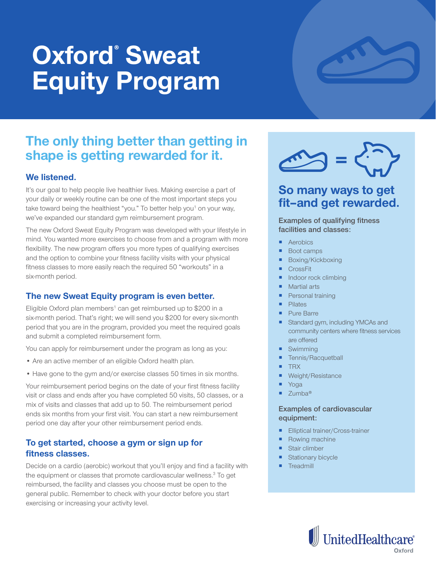# **Oxford® Sweat Equity Program**

## **The only thing better than getting in shape is getting rewarded for it.**

#### **We listened.**

It's our goal to help people live healthier lives. Making exercise a part of your daily or weekly routine can be one of the most important steps you take toward being the healthiest "you." To better help you<sup>1</sup> on your way, we've expanded our standard gym reimbursement program.

The new Oxford Sweat Equity Program was developed with your lifestyle in mind. You wanted more exercises to choose from and a program with more flexibility. The new program offers you more types of qualifying exercises and the option to combine your fitness facility visits with your physical fitness classes to more easily reach the required 50 "workouts" in a six-month period.

#### **The new Sweat Equity program is even better.**

Eligible Oxford plan members<sup>1</sup> can get reimbursed up to \$200 in a six-month period. That's right; we will send you \$200 for every six-month period that you are in the program, provided you meet the required goals and submit a completed reimbursement form.

You can apply for reimbursement under the program as long as you:

- Are an active member of an eligible Oxford health plan.
- Have gone to the gym and/or exercise classes 50 times in six months.

Your reimbursement period begins on the date of your first fitness facility visit or class and ends after you have completed 50 visits, 50 classes, or a mix of visits and classes that add up to 50. The reimbursement period ends six months from your first visit. You can start a new reimbursement period one day after your other reimbursement period ends.

#### **To get started, choose a gym or sign up for fitness classes.**

Decide on a cardio (aerobic) workout that you'll enjoy and find a facility with the equipment or classes that promote cardiovascular wellness.<sup>3</sup> To get reimbursed, the facility and classes you choose must be open to the general public. Remember to check with your doctor before you start exercising or increasing your activity level.



### **So many ways to get fit–and get rewarded.**

**Examples of qualifying fitness facilities and classes:**

- **Aerobics**
- Boot camps
- Boxing/Kickboxing
- **CrossFit**
- Indoor rock climbing
- Martial arts
- Personal training
- Pilates
- **Pure Barre**
- Standard gym, including YMCAs and community centers where fitness services are offered
- Swimming
- Tennis/Racquetball
- TRX
- Weight/Resistance
- Yoga
- Zumba®

#### **Examples of cardiovascular equipment:**

- **Elliptical trainer/Cross-trainer**
- Rowing machine
- Stair climber
- Stationary bicycle
- **Treadmill**